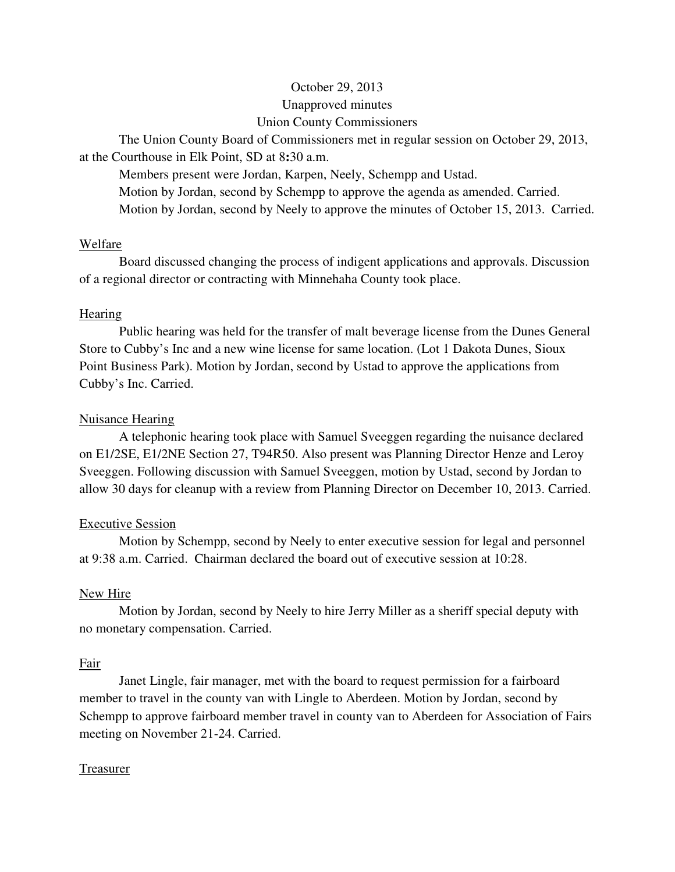# October 29, 2013 Unapproved minutes Union County Commissioners

The Union County Board of Commissioners met in regular session on October 29, 2013, at the Courthouse in Elk Point, SD at 8**:**30 a.m.

 Members present were Jordan, Karpen, Neely, Schempp and Ustad. Motion by Jordan, second by Schempp to approve the agenda as amended. Carried. Motion by Jordan, second by Neely to approve the minutes of October 15, 2013. Carried.

#### Welfare

 Board discussed changing the process of indigent applications and approvals. Discussion of a regional director or contracting with Minnehaha County took place.

## **Hearing**

 Public hearing was held for the transfer of malt beverage license from the Dunes General Store to Cubby's Inc and a new wine license for same location. (Lot 1 Dakota Dunes, Sioux Point Business Park). Motion by Jordan, second by Ustad to approve the applications from Cubby's Inc. Carried.

## Nuisance Hearing

 A telephonic hearing took place with Samuel Sveeggen regarding the nuisance declared on E1/2SE, E1/2NE Section 27, T94R50. Also present was Planning Director Henze and Leroy Sveeggen. Following discussion with Samuel Sveeggen, motion by Ustad, second by Jordan to allow 30 days for cleanup with a review from Planning Director on December 10, 2013. Carried.

# Executive Session

 Motion by Schempp, second by Neely to enter executive session for legal and personnel at 9:38 a.m. Carried. Chairman declared the board out of executive session at 10:28.

## New Hire

 Motion by Jordan, second by Neely to hire Jerry Miller as a sheriff special deputy with no monetary compensation. Carried.

## Fair

 Janet Lingle, fair manager, met with the board to request permission for a fairboard member to travel in the county van with Lingle to Aberdeen. Motion by Jordan, second by Schempp to approve fairboard member travel in county van to Aberdeen for Association of Fairs meeting on November 21-24. Carried.

## Treasurer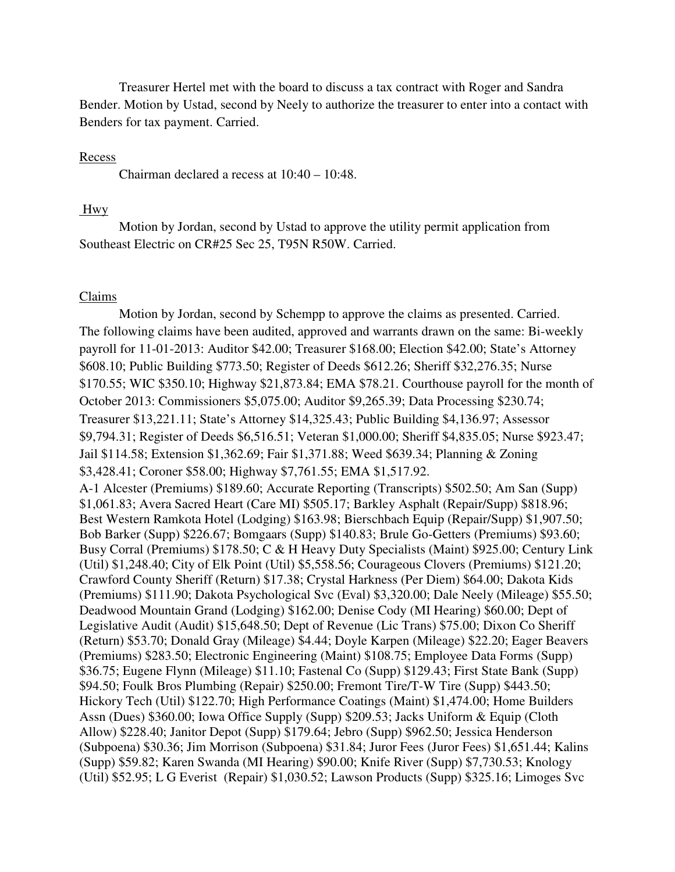Treasurer Hertel met with the board to discuss a tax contract with Roger and Sandra Bender. Motion by Ustad, second by Neely to authorize the treasurer to enter into a contact with Benders for tax payment. Carried.

#### Recess

Chairman declared a recess at 10:40 – 10:48.

#### Hwy

 Motion by Jordan, second by Ustad to approve the utility permit application from Southeast Electric on CR#25 Sec 25, T95N R50W. Carried.

#### Claims

 Motion by Jordan, second by Schempp to approve the claims as presented. Carried. The following claims have been audited, approved and warrants drawn on the same: Bi-weekly payroll for 11-01-2013: Auditor \$42.00; Treasurer \$168.00; Election \$42.00; State's Attorney \$608.10; Public Building \$773.50; Register of Deeds \$612.26; Sheriff \$32,276.35; Nurse \$170.55; WIC \$350.10; Highway \$21,873.84; EMA \$78.21. Courthouse payroll for the month of October 2013: Commissioners \$5,075.00; Auditor \$9,265.39; Data Processing \$230.74; Treasurer \$13,221.11; State's Attorney \$14,325.43; Public Building \$4,136.97; Assessor \$9,794.31; Register of Deeds \$6,516.51; Veteran \$1,000.00; Sheriff \$4,835.05; Nurse \$923.47; Jail \$114.58; Extension \$1,362.69; Fair \$1,371.88; Weed \$639.34; Planning & Zoning \$3,428.41; Coroner \$58.00; Highway \$7,761.55; EMA \$1,517.92. A-1 Alcester (Premiums) \$189.60; Accurate Reporting (Transcripts) \$502.50; Am San (Supp) \$1,061.83; Avera Sacred Heart (Care MI) \$505.17; Barkley Asphalt (Repair/Supp) \$818.96; Best Western Ramkota Hotel (Lodging) \$163.98; Bierschbach Equip (Repair/Supp) \$1,907.50; Bob Barker (Supp) \$226.67; Bomgaars (Supp) \$140.83; Brule Go-Getters (Premiums) \$93.60; Busy Corral (Premiums) \$178.50; C & H Heavy Duty Specialists (Maint) \$925.00; Century Link (Util) \$1,248.40; City of Elk Point (Util) \$5,558.56; Courageous Clovers (Premiums) \$121.20; Crawford County Sheriff (Return) \$17.38; Crystal Harkness (Per Diem) \$64.00; Dakota Kids (Premiums) \$111.90; Dakota Psychological Svc (Eval) \$3,320.00; Dale Neely (Mileage) \$55.50; Deadwood Mountain Grand (Lodging) \$162.00; Denise Cody (MI Hearing) \$60.00; Dept of Legislative Audit (Audit) \$15,648.50; Dept of Revenue (Lic Trans) \$75.00; Dixon Co Sheriff (Return) \$53.70; Donald Gray (Mileage) \$4.44; Doyle Karpen (Mileage) \$22.20; Eager Beavers (Premiums) \$283.50; Electronic Engineering (Maint) \$108.75; Employee Data Forms (Supp) \$36.75; Eugene Flynn (Mileage) \$11.10; Fastenal Co (Supp) \$129.43; First State Bank (Supp) \$94.50; Foulk Bros Plumbing (Repair) \$250.00; Fremont Tire/T-W Tire (Supp) \$443.50; Hickory Tech (Util) \$122.70; High Performance Coatings (Maint) \$1,474.00; Home Builders Assn (Dues) \$360.00; Iowa Office Supply (Supp) \$209.53; Jacks Uniform & Equip (Cloth Allow) \$228.40; Janitor Depot (Supp) \$179.64; Jebro (Supp) \$962.50; Jessica Henderson (Subpoena) \$30.36; Jim Morrison (Subpoena) \$31.84; Juror Fees (Juror Fees) \$1,651.44; Kalins (Supp) \$59.82; Karen Swanda (MI Hearing) \$90.00; Knife River (Supp) \$7,730.53; Knology (Util) \$52.95; L G Everist (Repair) \$1,030.52; Lawson Products (Supp) \$325.16; Limoges Svc